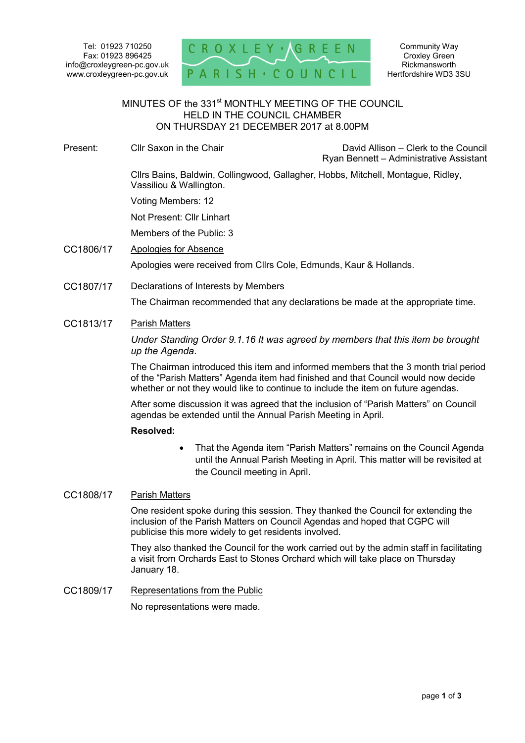

#### MINUTES OF the 331<sup>st</sup> MONTHLY MEETING OF THE COUNCIL HELD IN THE COUNCIL CHAMBER ON THURSDAY 21 DECEMBER 2017 at 8.00PM ٦

Present: Cllr Saxon in the Chair Chair David Allison – Clerk to the Council

Ryan Bennett – Administrative Assistant

 Cllrs Bains, Baldwin, Collingwood, Gallagher, Hobbs, Mitchell, Montague, Ridley, Vassiliou & Wallington.

Voting Members: 12

Not Present: Cllr Linhart

Members of the Public: 3

- CC1806/17 Apologies for Absence Apologies were received from Cllrs Cole, Edmunds, Kaur & Hollands.
- CC1807/17 Declarations of Interests by Members

The Chairman recommended that any declarations be made at the appropriate time.

### CC1813/17 Parish Matters

*Under Standing Order 9.1.16 It was agreed by members that this item be brought up the Agenda*.

The Chairman introduced this item and informed members that the 3 month trial period of the "Parish Matters" Agenda item had finished and that Council would now decide whether or not they would like to continue to include the item on future agendas.

After some discussion it was agreed that the inclusion of "Parish Matters" on Council agendas be extended until the Annual Parish Meeting in April.

### **Resolved:**

 That the Agenda item "Parish Matters" remains on the Council Agenda until the Annual Parish Meeting in April. This matter will be revisited at the Council meeting in April.

### CC1808/17 Parish Matters

One resident spoke during this session. They thanked the Council for extending the inclusion of the Parish Matters on Council Agendas and hoped that CGPC will publicise this more widely to get residents involved.

They also thanked the Council for the work carried out by the admin staff in facilitating a visit from Orchards East to Stones Orchard which will take place on Thursday January 18.

CC1809/17 Representations from the Public

No representations were made.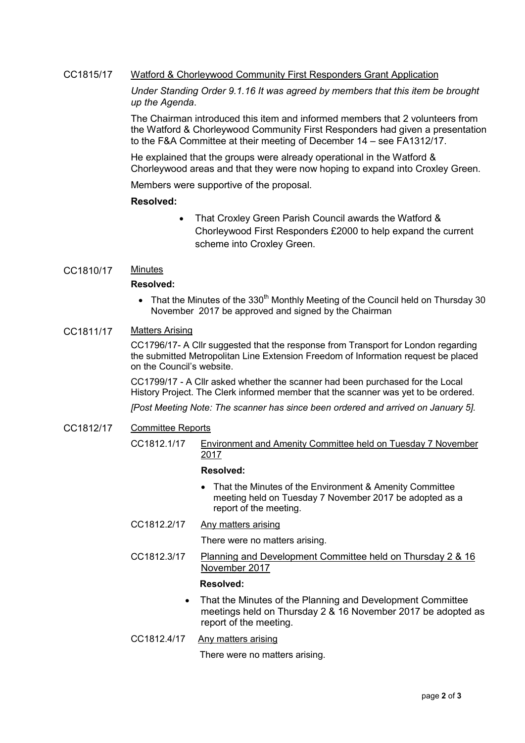## CC1815/17 Watford & Chorleywood Community First Responders Grant Application

*Under Standing Order 9.1.16 It was agreed by members that this item be brought up the Agenda*.

The Chairman introduced this item and informed members that 2 volunteers from the Watford & Chorleywood Community First Responders had given a presentation to the F&A Committee at their meeting of December 14 – see FA1312/17.

He explained that the groups were already operational in the Watford & Chorleywood areas and that they were now hoping to expand into Croxley Green.

Members were supportive of the proposal.

#### **Resolved:**

- That Croxley Green Parish Council awards the Watford & Chorleywood First Responders £2000 to help expand the current scheme into Croxley Green.
- CC1810/17 Minutes

### **Resolved:**

That the Minutes of the 330<sup>th</sup> Monthly Meeting of the Council held on Thursday 30 November 2017 be approved and signed by the Chairman

### CC1811/17 Matters Arising

CC1796/17- A Cllr suggested that the response from Transport for London regarding the submitted Metropolitan Line Extension Freedom of Information request be placed on the Council's website.

CC1799/17 - A Cllr asked whether the scanner had been purchased for the Local History Project. The Clerk informed member that the scanner was yet to be ordered.

*[Post Meeting Note: The scanner has since been ordered and arrived on January 5].* 

- CC1812/17 Committee Reports
	- CC1812.1/17 Environment and Amenity Committee held on Tuesday 7 November 2017

### **Resolved:**

- That the Minutes of the Environment & Amenity Committee meeting held on Tuesday 7 November 2017 be adopted as a report of the meeting.
- CC1812.2/17 Any matters arising

There were no matters arising.

CC1812.3/17 Planning and Development Committee held on Thursday 2 & 16 November 2017

#### **Resolved:**

- That the Minutes of the Planning and Development Committee meetings held on Thursday 2 & 16 November 2017 be adopted as report of the meeting.
- CC1812.4/17 Any matters arising

There were no matters arising.